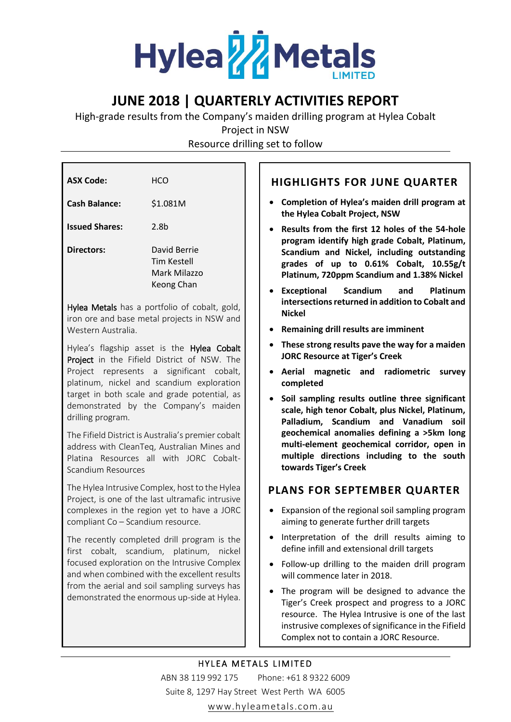

## **JUNE 2018 | QUARTERLY ACTIVITIES REPORT**

High-grade results from the Company's maiden drilling program at Hylea Cobalt Project in NSW Resource drilling set to follow

| <b>ASX Code:</b>      | HCO                                                              |
|-----------------------|------------------------------------------------------------------|
| <b>Cash Balance:</b>  | \$1.081M                                                         |
| <b>Issued Shares:</b> | 2.8h                                                             |
| Directors:            | David Berrie<br><b>Tim Kestell</b><br>Mark Milazzo<br>Keong Chan |

Hylea Metals has a portfolio of cobalt, gold, iron ore and base metal projects in NSW and Western Australia.

Hylea's flagship asset is the Hylea Cobalt Project in the Fifield District of NSW. The Project represents a significant cobalt, platinum, nickel and scandium exploration target in both scale and grade potential, as demonstrated by the Company's maiden drilling program.

The Fifield District is Australia's premier cobalt address with CleanTeq, Australian Mines and Platina Resources all with JORC Cobalt-Scandium Resources

The Hylea Intrusive Complex, host to the Hylea Project, is one of the last ultramafic intrusive complexes in the region yet to have a JORC compliant Co – Scandium resource.

The recently completed drill program is the first cobalt, scandium, platinum, nickel focused exploration on the Intrusive Complex and when combined with the excellent results from the aerial and soil sampling surveys has demonstrated the enormous up-side at Hylea.

## **HIGHLIGHTS FOR JUNE QUARTER**

- **Completion of Hylea's maiden drill program at the Hylea Cobalt Project, NSW**
- **Results from the first 12 holes of the 54-hole program identify high grade Cobalt, Platinum, Scandium and Nickel, including outstanding grades of up to 0.61% Cobalt, 10.55g/t Platinum, 720ppm Scandium and 1.38% Nickel**
- **Exceptional Scandium and Platinum intersections returned in addition to Cobalt and Nickel**
- **Remaining drill results are imminent**
- **These strong results pave the way for a maiden JORC Resource at Tiger's Creek**
- **Aerial magnetic and radiometric survey completed**
- **Soil sampling results outline three significant scale, high tenor Cobalt, plus Nickel, Platinum, Palladium, Scandium and Vanadium soil geochemical anomalies defining a >5km long multi-element geochemical corridor, open in multiple directions including to the south towards Tiger's Creek**

## **PLANS FOR SEPTEMBER QUARTER**

- Expansion of the regional soil sampling program aiming to generate further drill targets
- Interpretation of the drill results aiming to define infill and extensional drill targets
- Follow-up drilling to the maiden drill program will commence later in 2018.
- The program will be designed to advance the Tiger's Creek prospect and progress to a JORC resource. The Hylea Intrusive is one of the last instrusive complexes of significance in the Fifield Complex not to contain a JORC Resource.

### HYLEA METALS LIMITED ABN 38 119 992 175 Phone: +61 8 9322 6009 Suite 8, 1297 Hay Street West Perth WA 6005 [www.hyleametals.com.au](http://www.hyleametals.com.au/)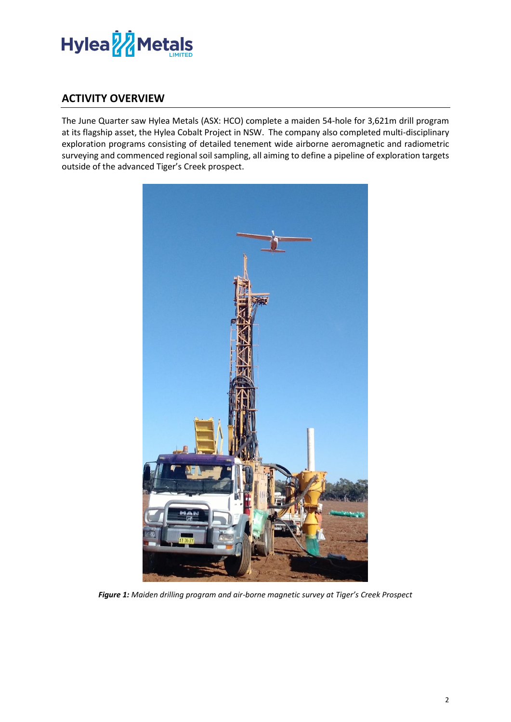

### **ACTIVITY OVERVIEW**

The June Quarter saw Hylea Metals (ASX: HCO) complete a maiden 54-hole for 3,621m drill program at its flagship asset, the Hylea Cobalt Project in NSW. The company also completed multi-disciplinary exploration programs consisting of detailed tenement wide airborne aeromagnetic and radiometric surveying and commenced regional soil sampling, all aiming to define a pipeline of exploration targets outside of the advanced Tiger's Creek prospect.



*Figure 1: Maiden drilling program and air-borne magnetic survey at Tiger's Creek Prospect*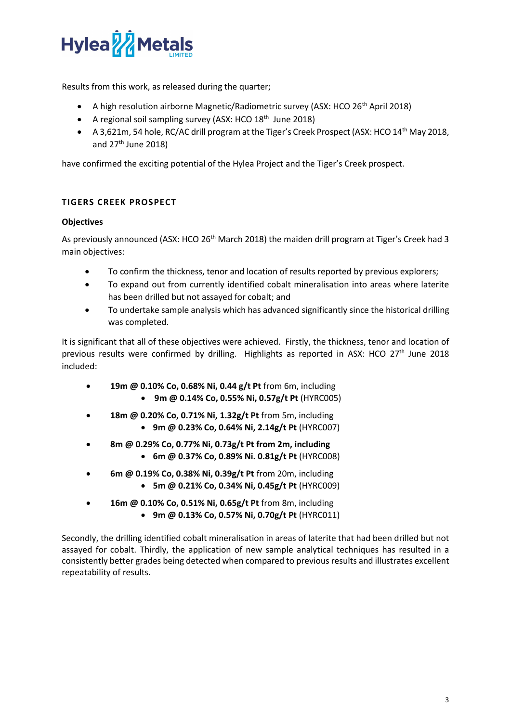

Results from this work, as released during the quarter;

- A high resolution airborne Magnetic/Radiometric survey (ASX: HCO 26<sup>th</sup> April 2018)
- A regional soil sampling survey (ASX: HCO 18<sup>th</sup> June 2018)
- A 3,621m, 54 hole, RC/AC drill program at the Tiger's Creek Prospect (ASX: HCO 14<sup>th</sup> May 2018, and  $27<sup>th</sup>$  June 2018)

have confirmed the exciting potential of the Hylea Project and the Tiger's Creek prospect.

#### **TIGERS CREEK PROSPECT**

#### **Objectives**

As previously announced (ASX: HCO 26<sup>th</sup> March 2018) the maiden drill program at Tiger's Creek had 3 main objectives:

- To confirm the thickness, tenor and location of results reported by previous explorers;
- To expand out from currently identified cobalt mineralisation into areas where laterite has been drilled but not assayed for cobalt; and
- To undertake sample analysis which has advanced significantly since the historical drilling was completed.

It is significant that all of these objectives were achieved. Firstly, the thickness, tenor and location of previous results were confirmed by drilling. Highlights as reported in ASX: HCO 27th June 2018 included:

- **19m @ 0.10% Co, 0.68% Ni, 0.44 g/t Pt** from 6m, including • **9m @ 0.14% Co, 0.55% Ni, 0.57g/t Pt** (HYRC005)
- **18m @ 0.20% Co, 0.71% Ni, 1.32g/t Pt** from 5m, including
	- **9m @ 0.23% Co, 0.64% Ni, 2.14g/t Pt** (HYRC007)
- **8m @ 0.29% Co, 0.77% Ni, 0.73g/t Pt from 2m, including**
	- **6m @ 0.37% Co, 0.89% Ni. 0.81g/t Pt** (HYRC008)
- **6m @ 0.19% Co, 0.38% Ni, 0.39g/t Pt** from 20m, including
	- **5m @ 0.21% Co, 0.34% Ni, 0.45g/t Pt** (HYRC009)
- **16m @ 0.10% Co, 0.51% Ni, 0.65g/t Pt** from 8m, including
	- **9m @ 0.13% Co, 0.57% Ni, 0.70g/t Pt** (HYRC011)

Secondly, the drilling identified cobalt mineralisation in areas of laterite that had been drilled but not assayed for cobalt. Thirdly, the application of new sample analytical techniques has resulted in a consistently better grades being detected when compared to previous results and illustrates excellent repeatability of results.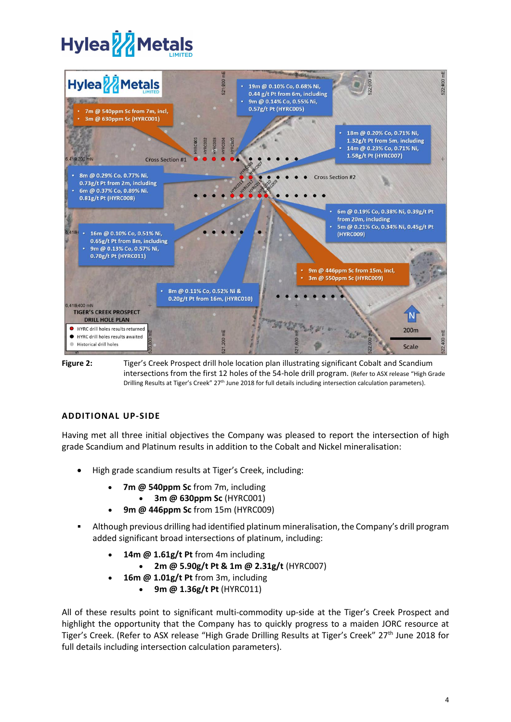# **Hylea<sup>2</sup>** Metals



**Figure 2:** Tiger's Creek Prospect drill hole location plan illustrating significant Cobalt and Scandium intersections from the first 12 holes of the 54-hole drill program. (Refer to ASX release "High Grade Drilling Results at Tiger's Creek" 27<sup>th</sup> June 2018 for full details including intersection calculation parameters).

#### **ADDITIONAL UP-SIDE**

Having met all three initial objectives the Company was pleased to report the intersection of high grade Scandium and Platinum results in addition to the Cobalt and Nickel mineralisation:

- High grade scandium results at Tiger's Creek, including:
	- **7m @ 540ppm Sc** from 7m, including
		- **3m @ 630ppm Sc** (HYRC001)
	- **9m @ 446ppm Sc** from 15m (HYRC009)
- Although previous drilling had identified platinum mineralisation, the Company's drill program added significant broad intersections of platinum, including:
	- **14m @ 1.61g/t Pt** from 4m including
		- **2m @ 5.90g/t Pt & 1m @ 2.31g/t** (HYRC007)
	- **16m @ 1.01g/t Pt** from 3m, including
		- **9m @ 1.36g/t Pt** (HYRC011)

All of these results point to significant multi-commodity up-side at the Tiger's Creek Prospect and highlight the opportunity that the Company has to quickly progress to a maiden JORC resource at Tiger's Creek. (Refer to ASX release "High Grade Drilling Results at Tiger's Creek" 27<sup>th</sup> June 2018 for full details including intersection calculation parameters).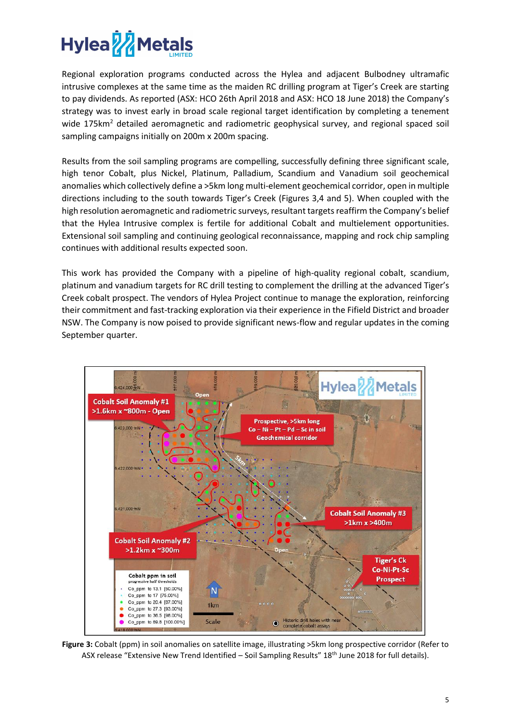## **Hylea<sup>7</sup>** Metals

Regional exploration programs conducted across the Hylea and adjacent Bulbodney ultramafic intrusive complexes at the same time as the maiden RC drilling program at Tiger's Creek are starting to pay dividends. As reported (ASX: HCO 26th April 2018 and ASX: HCO 18 June 2018) the Company's strategy was to invest early in broad scale regional target identification by completing a tenement wide 175km<sup>2</sup> detailed aeromagnetic and radiometric geophysical survey, and regional spaced soil sampling campaigns initially on 200m x 200m spacing.

Results from the soil sampling programs are compelling, successfully defining three significant scale, high tenor Cobalt, plus Nickel, Platinum, Palladium, Scandium and Vanadium soil geochemical anomalies which collectively define a >5km long multi-element geochemical corridor, open in multiple directions including to the south towards Tiger's Creek (Figures 3,4 and 5). When coupled with the high resolution aeromagnetic and radiometric surveys, resultant targets reaffirm the Company's belief that the Hylea Intrusive complex is fertile for additional Cobalt and multielement opportunities. Extensional soil sampling and continuing geological reconnaissance, mapping and rock chip sampling continues with additional results expected soon.

This work has provided the Company with a pipeline of high-quality regional cobalt, scandium, platinum and vanadium targets for RC drill testing to complement the drilling at the advanced Tiger's Creek cobalt prospect. The vendors of Hylea Project continue to manage the exploration, reinforcing their commitment and fast-tracking exploration via their experience in the Fifield District and broader NSW. The Company is now poised to provide significant news-flow and regular updates in the coming September quarter.



**Figure 3:** Cobalt (ppm) in soil anomalies on satellite image, illustrating >5km long prospective corridor (Refer to ASX release "Extensive New Trend Identified – Soil Sampling Results" 18th June 2018 for full details).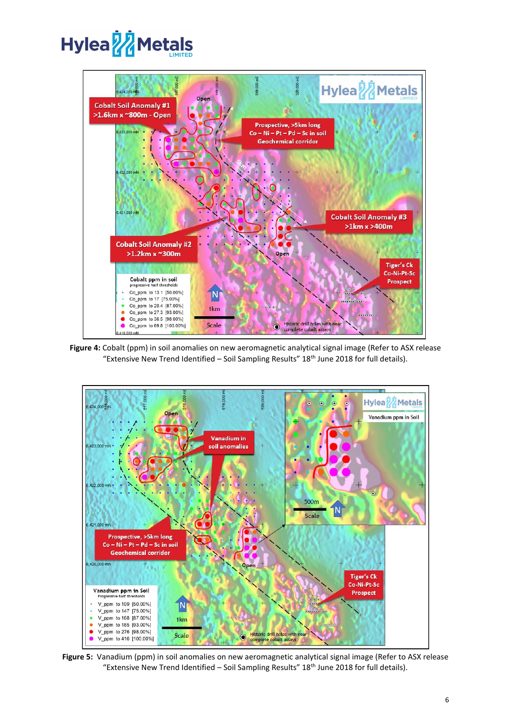# **Hylea<sup>2</sup>/**Metals



**Figure 4:** Cobalt (ppm) in soil anomalies on new aeromagnetic analytical signal image (Refer to ASX release "Extensive New Trend Identified - Soil Sampling Results"  $18<sup>th</sup>$  June 2018 for full details).



**Figure 5:** Vanadium (ppm) in soil anomalies on new aeromagnetic analytical signal image (Refer to ASX release "Extensive New Trend Identified – Soil Sampling Results"  $18<sup>th</sup>$  June 2018 for full details).